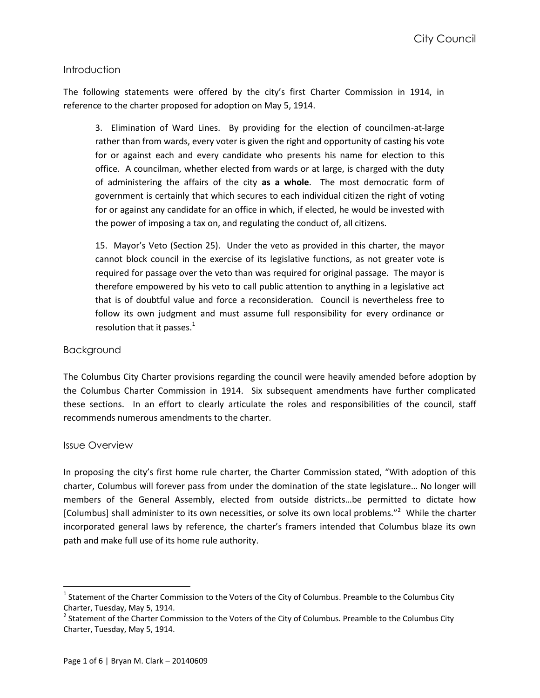## Introduction

The following statements were offered by the city's first Charter Commission in 1914, in reference to the charter proposed for adoption on May 5, 1914.

3. Elimination of Ward Lines. By providing for the election of councilmen-at-large rather than from wards, every voter is given the right and opportunity of casting his vote for or against each and every candidate who presents his name for election to this office. A councilman, whether elected from wards or at large, is charged with the duty of administering the affairs of the city **as a whole**. The most democratic form of government is certainly that which secures to each individual citizen the right of voting for or against any candidate for an office in which, if elected, he would be invested with the power of imposing a tax on, and regulating the conduct of, all citizens.

15. Mayor's Veto (Section 25). Under the veto as provided in this charter, the mayor cannot block council in the exercise of its legislative functions, as not greater vote is required for passage over the veto than was required for original passage. The mayor is therefore empowered by his veto to call public attention to anything in a legislative act that is of doubtful value and force a reconsideration. Council is nevertheless free to follow its own judgment and must assume full responsibility for every ordinance or resolution that it passes. $<sup>1</sup>$ </sup>

### Background

The Columbus City Charter provisions regarding the council were heavily amended before adoption by the Columbus Charter Commission in 1914. Six subsequent amendments have further complicated these sections. In an effort to clearly articulate the roles and responsibilities of the council, staff recommends numerous amendments to the charter.

### Issue Overview

 $\overline{a}$ 

In proposing the city's first home rule charter, the Charter Commission stated, "With adoption of this charter, Columbus will forever pass from under the domination of the state legislature… No longer will members of the General Assembly, elected from outside districts…be permitted to dictate how [Columbus] shall administer to its own necessities, or solve its own local problems."<sup>2</sup> While the charter incorporated general laws by reference, the charter's framers intended that Columbus blaze its own path and make full use of its home rule authority.

 $^1$  Statement of the Charter Commission to the Voters of the City of Columbus. Preamble to the Columbus City Charter, Tuesday, May 5, 1914.

 $^2$  Statement of the Charter Commission to the Voters of the City of Columbus. Preamble to the Columbus City Charter, Tuesday, May 5, 1914.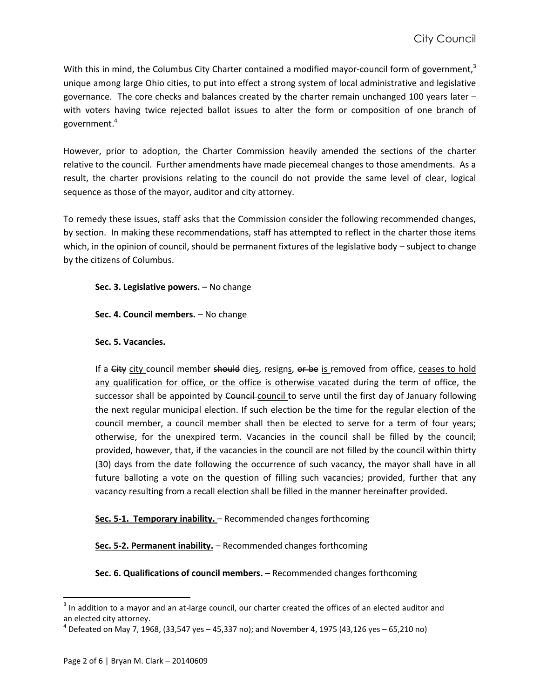With this in mind, the Columbus City Charter contained a modified mayor-council form of government,<sup>3</sup> unique among large Ohio cities, to put into effect a strong system of local administrative and legislative governance. The core checks and balances created by the charter remain unchanged 100 years later – with voters having twice rejected ballot issues to alter the form or composition of one branch of government. 4

However, prior to adoption, the Charter Commission heavily amended the sections of the charter relative to the council. Further amendments have made piecemeal changes to those amendments. As a result, the charter provisions relating to the council do not provide the same level of clear, logical sequence as those of the mayor, auditor and city attorney.

To remedy these issues, staff asks that the Commission consider the following recommended changes, by section. In making these recommendations, staff has attempted to reflect in the charter those items which, in the opinion of council, should be permanent fixtures of the legislative body – subject to change by the citizens of Columbus.

**Sec. 3. Legislative powers.** – No change

**Sec. 4. Council members.** – No change

# **Sec. 5. Vacancies.**

If a City city council member should dies, resigns, or be is removed from office, ceases to hold any qualification for office, or the office is otherwise vacated during the term of office, the successor shall be appointed by Council-council to serve until the first day of January following the next regular municipal election. If such election be the time for the regular election of the council member, a council member shall then be elected to serve for a term of four years; otherwise, for the unexpired term. Vacancies in the council shall be filled by the council; provided, however, that, if the vacancies in the council are not filled by the council within thirty (30) days from the date following the occurrence of such vacancy, the mayor shall have in all future balloting a vote on the question of filling such vacancies; provided, further that any vacancy resulting from a recall election shall be filled in the manner hereinafter provided.

Sec. 5-1. Temporary inability. - Recommended changes forthcoming

**Sec. 5-2. Permanent inability.** – Recommended changes forthcoming

**Sec. 6. Qualifications of council members.** – Recommended changes forthcoming

 $\overline{\phantom{a}}$ 

 $3$  In addition to a mayor and an at-large council, our charter created the offices of an elected auditor and an elected city attorney.

 $^4$  Defeated on May 7, 1968, (33,547 yes – 45,337 no); and November 4, 1975 (43,126 yes – 65,210 no)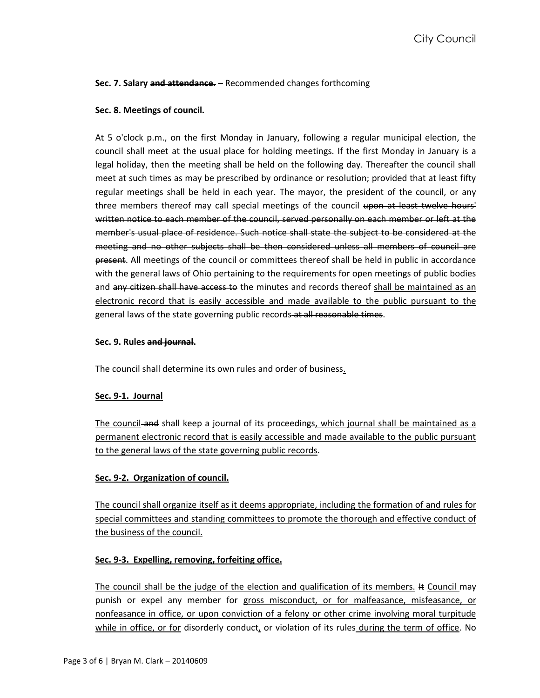# **Sec. 7. Salary and attendance.** – Recommended changes forthcoming

## **Sec. 8. Meetings of council.**

At 5 o'clock p.m., on the first Monday in January, following a regular municipal election, the council shall meet at the usual place for holding meetings. If the first Monday in January is a legal holiday, then the meeting shall be held on the following day. Thereafter the council shall meet at such times as may be prescribed by ordinance or resolution; provided that at least fifty regular meetings shall be held in each year. The mayor, the president of the council, or any three members thereof may call special meetings of the council upon at least twelve hours' written notice to each member of the council, served personally on each member or left at the member's usual place of residence. Such notice shall state the subject to be considered at the meeting and no other subjects shall be then considered unless all members of council are present. All meetings of the council or committees thereof shall be held in public in accordance with the general laws of Ohio pertaining to the requirements for open meetings of public bodies and any citizen shall have access to the minutes and records thereof shall be maintained as an electronic record that is easily accessible and made available to the public pursuant to the general laws of the state governing public records at all reasonable times.

### **Sec. 9. Rules and journal.**

The council shall determine its own rules and order of business.

### **Sec. 9-1. Journal**

The council and shall keep a journal of its proceedings, which journal shall be maintained as a permanent electronic record that is easily accessible and made available to the public pursuant to the general laws of the state governing public records.

# **Sec. 9-2. Organization of council.**

The council shall organize itself as it deems appropriate, including the formation of and rules for special committees and standing committees to promote the thorough and effective conduct of the business of the council.

# **Sec. 9-3. Expelling, removing, forfeiting office.**

The council shall be the judge of the election and qualification of its members.  $#$  Council may punish or expel any member for gross misconduct, or for malfeasance, misfeasance, or nonfeasance in office, or upon conviction of a felony or other crime involving moral turpitude while in office, or for disorderly conduct, or violation of its rules during the term of office. No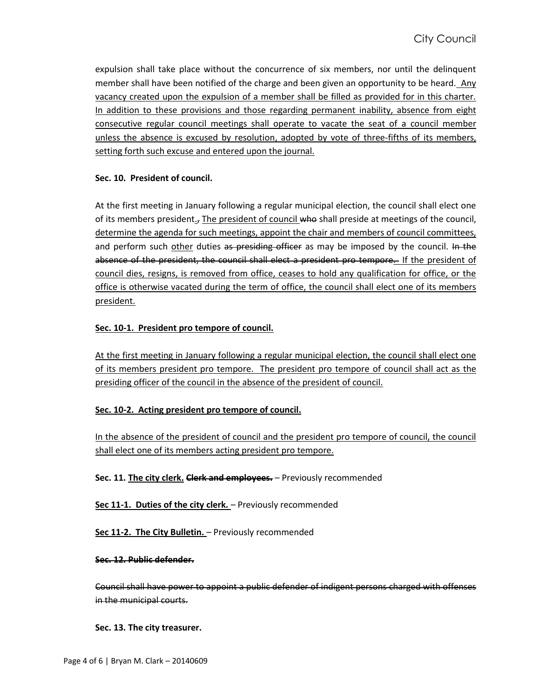expulsion shall take place without the concurrence of six members, nor until the delinquent member shall have been notified of the charge and been given an opportunity to be heard. Any vacancy created upon the expulsion of a member shall be filled as provided for in this charter. In addition to these provisions and those regarding permanent inability, absence from eight consecutive regular council meetings shall operate to vacate the seat of a council member unless the absence is excused by resolution, adopted by vote of three-fifths of its members, setting forth such excuse and entered upon the journal.

## **Sec. 10. President of council.**

At the first meeting in January following a regular municipal election, the council shall elect one of its members president., The president of council who shall preside at meetings of the council, determine the agenda for such meetings, appoint the chair and members of council committees, and perform such other duties as presiding officer as may be imposed by the council. In the absence of the president, the council shall elect a president pro tempore. If the president of council dies, resigns, is removed from office, ceases to hold any qualification for office, or the office is otherwise vacated during the term of office, the council shall elect one of its members president.

# **Sec. 10-1. President pro tempore of council.**

At the first meeting in January following a regular municipal election, the council shall elect one of its members president pro tempore. The president pro tempore of council shall act as the presiding officer of the council in the absence of the president of council.

# **Sec. 10-2. Acting president pro tempore of council.**

In the absence of the president of council and the president pro tempore of council, the council shall elect one of its members acting president pro tempore.

**Sec. 11. The city clerk. Clerk and employees.** – Previously recommended

**Sec 11-1. Duties of the city clerk.** – Previously recommended

**Sec 11-2. The City Bulletin.** – Previously recommended

### **Sec. 12. Public defender.**

Council shall have power to appoint a public defender of indigent persons charged with offenses in the municipal courts.

**Sec. 13. The city treasurer.**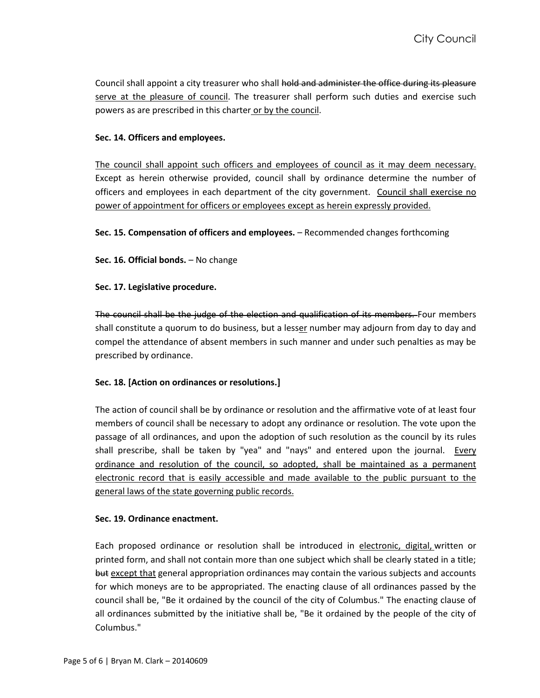Council shall appoint a city treasurer who shall hold and administer the office during its pleasure serve at the pleasure of council. The treasurer shall perform such duties and exercise such powers as are prescribed in this charter or by the council.

# **Sec. 14. Officers and employees.**

The council shall appoint such officers and employees of council as it may deem necessary. Except as herein otherwise provided, council shall by ordinance determine the number of officers and employees in each department of the city government. Council shall exercise no power of appointment for officers or employees except as herein expressly provided.

**Sec. 15. Compensation of officers and employees.** – Recommended changes forthcoming

Sec. 16. Official bonds. - No change

**Sec. 17. Legislative procedure.**

The council shall be the judge of the election and qualification of its members. Four members shall constitute a quorum to do business, but a lesser number may adjourn from day to day and compel the attendance of absent members in such manner and under such penalties as may be prescribed by ordinance.

### **Sec. 18. [Action on ordinances or resolutions.]**

The action of council shall be by ordinance or resolution and the affirmative vote of at least four members of council shall be necessary to adopt any ordinance or resolution. The vote upon the passage of all ordinances, and upon the adoption of such resolution as the council by its rules shall prescribe, shall be taken by "yea" and "nays" and entered upon the journal. Every ordinance and resolution of the council, so adopted, shall be maintained as a permanent electronic record that is easily accessible and made available to the public pursuant to the general laws of the state governing public records.

### **Sec. 19. Ordinance enactment.**

Each proposed ordinance or resolution shall be introduced in electronic, digital, written or printed form, and shall not contain more than one subject which shall be clearly stated in a title; but except that general appropriation ordinances may contain the various subjects and accounts for which moneys are to be appropriated. The enacting clause of all ordinances passed by the council shall be, "Be it ordained by the council of the city of Columbus." The enacting clause of all ordinances submitted by the initiative shall be, "Be it ordained by the people of the city of Columbus."